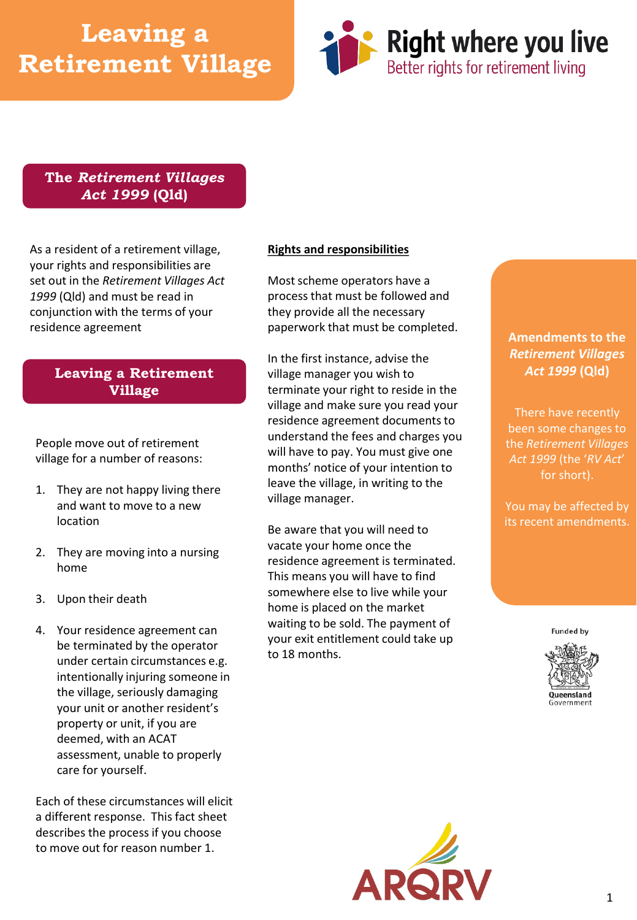# **Leaving a Retirement Village**



### **The** *Retirement Villages Act 1999* **(Qld)**

As a resident of a retirement village, your rights and responsibilities are set out in the *Retirement Villages Act 1999* (Qld) and must be read in conjunction with the terms of your residence agreement

## **Leaving a Retirement Village**

People move out of retirement village for a number of reasons:

- 1. They are not happy living there and want to move to a new location
- 2. They are moving into a nursing home
- 3. Upon their death
- 4. Your residence agreement can be terminated by the operator under certain circumstances e.g. intentionally injuring someone in the village, seriously damaging your unit or another resident's property or unit, if you are deemed, with an ACAT assessment, unable to properly care for yourself.

Each of these circumstances will elicit a different response. This fact sheet describes the process if you choose to move out for reason number 1.

#### **Rights and responsibilities**

Most scheme operators have a process that must be followed and they provide all the necessary paperwork that must be completed.

In the first instance, advise the village manager you wish to terminate your right to reside in the village and make sure you read your residence agreement documents to understand the fees and charges you will have to pay. You must give one months' notice of your intention to leave the village, in writing to the village manager.

Be aware that you will need to vacate your home once the residence agreement is terminated. This means you will have to find somewhere else to live while your home is placed on the market waiting to be sold. The payment of your exit entitlement could take up to 18 months.

### **Amendments to the**  *Retirement Villages Act 1999* **(Qld)**

There have recently been some changes to the *Retirement Villages Act 1999* (the '*RV Act*' for short).

You may be affected by its recent amendments.

**Funded by**